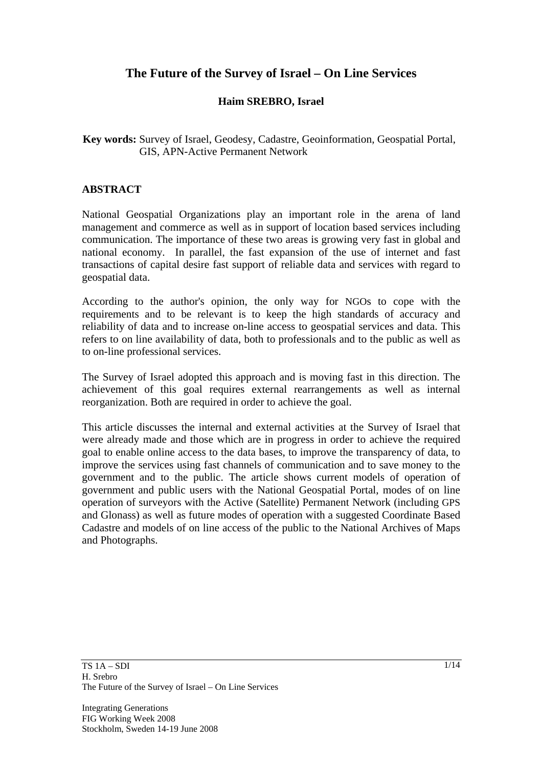# **The Future of the Survey of Israel – On Line Services**

### **Haim SREBRO, Israel**

**Key words:** Survey of Israel, Geodesy, Cadastre, Geoinformation, Geospatial Portal, GIS, APN-Active Permanent Network

#### **ABSTRACT**

National Geospatial Organizations play an important role in the arena of land management and commerce as well as in support of location based services including communication. The importance of these two areas is growing very fast in global and national economy. In parallel, the fast expansion of the use of internet and fast transactions of capital desire fast support of reliable data and services with regard to geospatial data.

According to the author's opinion, the only way for NGOs to cope with the requirements and to be relevant is to keep the high standards of accuracy and reliability of data and to increase on-line access to geospatial services and data. This refers to on line availability of data, both to professionals and to the public as well as to on-line professional services.

The Survey of Israel adopted this approach and is moving fast in this direction. The achievement of this goal requires external rearrangements as well as internal reorganization. Both are required in order to achieve the goal.

This article discusses the internal and external activities at the Survey of Israel that were already made and those which are in progress in order to achieve the required goal to enable online access to the data bases, to improve the transparency of data, to improve the services using fast channels of communication and to save money to the government and to the public. The article shows current models of operation of government and public users with the National Geospatial Portal, modes of on line operation of surveyors with the Active (Satellite) Permanent Network (including GPS and Glonass) as well as future modes of operation with a suggested Coordinate Based Cadastre and models of on line access of the public to the National Archives of Maps and Photographs.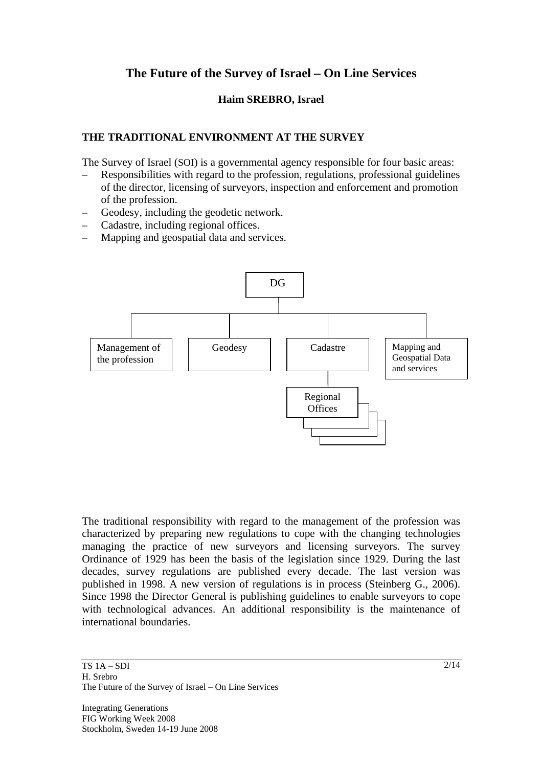# **The Future of the Survey of Israel – On Line Services**

### **Haim SREBRO, Israel**

# **THE TRADITIONAL ENVIRONMENT AT THE SURVEY**

The Survey of Israel (SOI) is a governmental agency responsible for four basic areas:

- Responsibilities with regard to the profession, regulations, professional guidelines of the director, licensing of surveyors, inspection and enforcement and promotion of the profession.
- Geodesy, including the geodetic network.
- Cadastre, including regional offices.
- Mapping and geospatial data and services.



The traditional responsibility with regard to the management of the profession was characterized by preparing new regulations to cope with the changing technologies managing the practice of new surveyors and licensing surveyors. The survey Ordinance of 1929 has been the basis of the legislation since 1929. During the last decades, survey regulations are published every decade. The last version was published in 1998. A new version of regulations is in process (Steinberg G., 2006). Since 1998 the Director General is publishing guidelines to enable surveyors to cope with technological advances. An additional responsibility is the maintenance of international boundaries.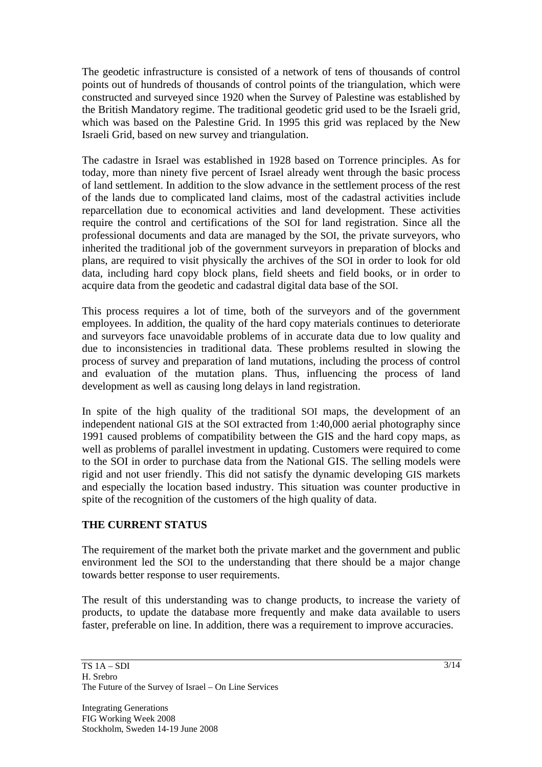The geodetic infrastructure is consisted of a network of tens of thousands of control points out of hundreds of thousands of control points of the triangulation, which were constructed and surveyed since 1920 when the Survey of Palestine was established by the British Mandatory regime. The traditional geodetic grid used to be the Israeli grid, which was based on the Palestine Grid. In 1995 this grid was replaced by the New Israeli Grid, based on new survey and triangulation.

The cadastre in Israel was established in 1928 based on Torrence principles. As for today, more than ninety five percent of Israel already went through the basic process of land settlement. In addition to the slow advance in the settlement process of the rest of the lands due to complicated land claims, most of the cadastral activities include reparcellation due to economical activities and land development. These activities require the control and certifications of the SOI for land registration. Since all the professional documents and data are managed by the SOI, the private surveyors, who inherited the traditional job of the government surveyors in preparation of blocks and plans, are required to visit physically the archives of the SOI in order to look for old data, including hard copy block plans, field sheets and field books, or in order to acquire data from the geodetic and cadastral digital data base of the SOI.

This process requires a lot of time, both of the surveyors and of the government employees. In addition, the quality of the hard copy materials continues to deteriorate and surveyors face unavoidable problems of in accurate data due to low quality and due to inconsistencies in traditional data. These problems resulted in slowing the process of survey and preparation of land mutations, including the process of control and evaluation of the mutation plans. Thus, influencing the process of land development as well as causing long delays in land registration.

In spite of the high quality of the traditional SOI maps, the development of an independent national GIS at the SOI extracted from 1:40,000 aerial photography since 1991 caused problems of compatibility between the GIS and the hard copy maps, as well as problems of parallel investment in updating. Customers were required to come to the SOI in order to purchase data from the National GIS. The selling models were rigid and not user friendly. This did not satisfy the dynamic developing GIS markets and especially the location based industry. This situation was counter productive in spite of the recognition of the customers of the high quality of data.

# **THE CURRENT STATUS**

The requirement of the market both the private market and the government and public environment led the SOI to the understanding that there should be a major change towards better response to user requirements.

The result of this understanding was to change products, to increase the variety of products, to update the database more frequently and make data available to users faster, preferable on line. In addition, there was a requirement to improve accuracies.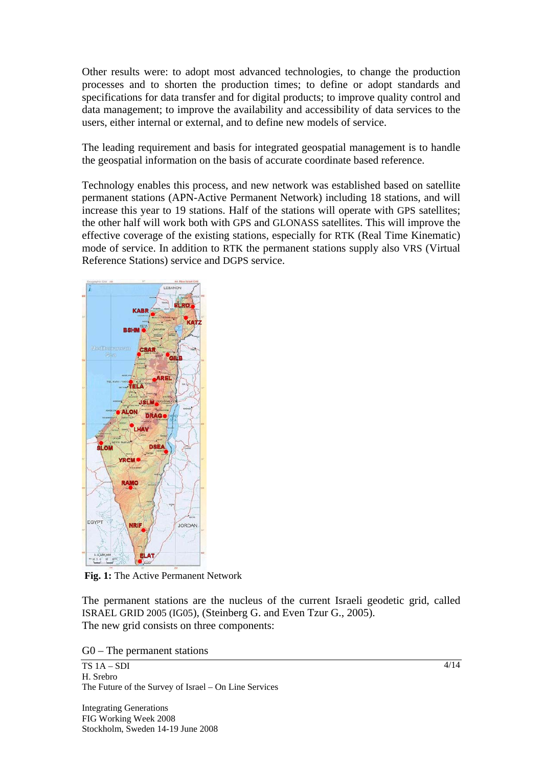Other results were: to adopt most advanced technologies, to change the production processes and to shorten the production times; to define or adopt standards and specifications for data transfer and for digital products; to improve quality control and data management; to improve the availability and accessibility of data services to the users, either internal or external, and to define new models of service.

The leading requirement and basis for integrated geospatial management is to handle the geospatial information on the basis of accurate coordinate based reference.

Technology enables this process, and new network was established based on satellite permanent stations (APN-Active Permanent Network) including 18 stations, and will increase this year to 19 stations. Half of the stations will operate with GPS satellites; the other half will work both with GPS and GLONASS satellites. This will improve the effective coverage of the existing stations, especially for RTK (Real Time Kinematic) mode of service. In addition to RTK the permanent stations supply also VRS (Virtual Reference Stations) service and DGPS service.



**Fig. 1:** The Active Permanent Network

The permanent stations are the nucleus of the current Israeli geodetic grid, called ISRAEL GRID 2005 (IG05), (Steinberg G. and Even Tzur G., 2005). The new grid consists on three components:

G0 – The permanent stations

TS 1A – SDI H. Srebro The Future of the Survey of Israel – On Line Services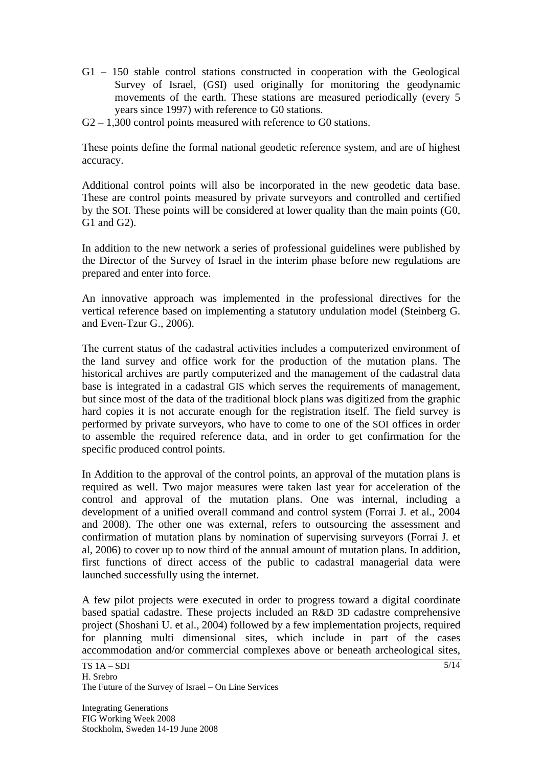- G1 150 stable control stations constructed in cooperation with the Geological Survey of Israel, (GSI) used originally for monitoring the geodynamic movements of the earth. These stations are measured periodically (every 5 years since 1997) with reference to G0 stations.
- G2 1,300 control points measured with reference to G0 stations.

These points define the formal national geodetic reference system, and are of highest accuracy.

Additional control points will also be incorporated in the new geodetic data base. These are control points measured by private surveyors and controlled and certified by the SOI. These points will be considered at lower quality than the main points (G0, G1 and G2).

In addition to the new network a series of professional guidelines were published by the Director of the Survey of Israel in the interim phase before new regulations are prepared and enter into force.

An innovative approach was implemented in the professional directives for the vertical reference based on implementing a statutory undulation model (Steinberg G. and Even-Tzur G., 2006).

The current status of the cadastral activities includes a computerized environment of the land survey and office work for the production of the mutation plans. The historical archives are partly computerized and the management of the cadastral data base is integrated in a cadastral GIS which serves the requirements of management, but since most of the data of the traditional block plans was digitized from the graphic hard copies it is not accurate enough for the registration itself. The field survey is performed by private surveyors, who have to come to one of the SOI offices in order to assemble the required reference data, and in order to get confirmation for the specific produced control points.

In Addition to the approval of the control points, an approval of the mutation plans is required as well. Two major measures were taken last year for acceleration of the control and approval of the mutation plans. One was internal, including a development of a unified overall command and control system (Forrai J. et al., 2004 and 2008). The other one was external, refers to outsourcing the assessment and confirmation of mutation plans by nomination of supervising surveyors (Forrai J. et al, 2006) to cover up to now third of the annual amount of mutation plans. In addition, first functions of direct access of the public to cadastral managerial data were launched successfully using the internet.

A few pilot projects were executed in order to progress toward a digital coordinate based spatial cadastre. These projects included an R&D 3D cadastre comprehensive project (Shoshani U. et al., 2004) followed by a few implementation projects, required for planning multi dimensional sites, which include in part of the cases accommodation and/or commercial complexes above or beneath archeological sites,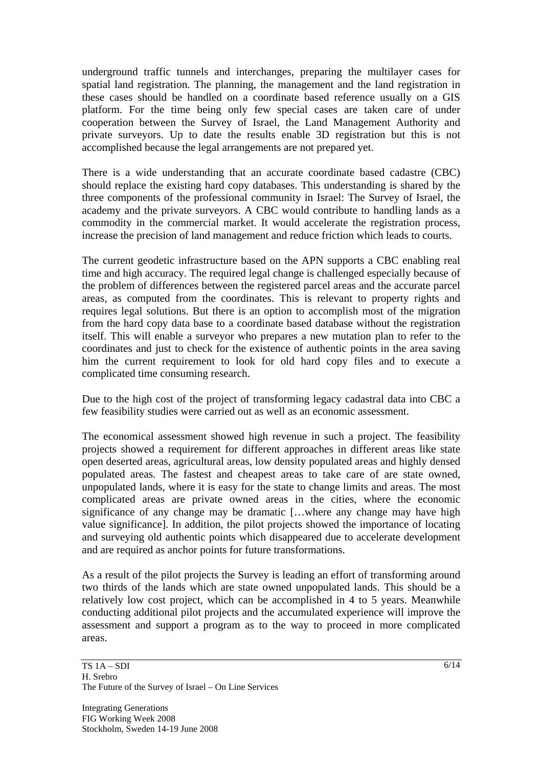underground traffic tunnels and interchanges, preparing the multilayer cases for spatial land registration. The planning, the management and the land registration in these cases should be handled on a coordinate based reference usually on a GIS platform. For the time being only few special cases are taken care of under cooperation between the Survey of Israel, the Land Management Authority and private surveyors. Up to date the results enable 3D registration but this is not accomplished because the legal arrangements are not prepared yet.

There is a wide understanding that an accurate coordinate based cadastre (CBC) should replace the existing hard copy databases. This understanding is shared by the three components of the professional community in Israel: The Survey of Israel, the academy and the private surveyors. A CBC would contribute to handling lands as a commodity in the commercial market. It would accelerate the registration process, increase the precision of land management and reduce friction which leads to courts.

The current geodetic infrastructure based on the APN supports a CBC enabling real time and high accuracy. The required legal change is challenged especially because of the problem of differences between the registered parcel areas and the accurate parcel areas, as computed from the coordinates. This is relevant to property rights and requires legal solutions. But there is an option to accomplish most of the migration from the hard copy data base to a coordinate based database without the registration itself. This will enable a surveyor who prepares a new mutation plan to refer to the coordinates and just to check for the existence of authentic points in the area saving him the current requirement to look for old hard copy files and to execute a complicated time consuming research.

Due to the high cost of the project of transforming legacy cadastral data into CBC a few feasibility studies were carried out as well as an economic assessment.

The economical assessment showed high revenue in such a project. The feasibility projects showed a requirement for different approaches in different areas like state open deserted areas, agricultural areas, low density populated areas and highly densed populated areas. The fastest and cheapest areas to take care of are state owned, unpopulated lands, where it is easy for the state to change limits and areas. The most complicated areas are private owned areas in the cities, where the economic significance of any change may be dramatic […where any change may have high value significance]. In addition, the pilot projects showed the importance of locating and surveying old authentic points which disappeared due to accelerate development and are required as anchor points for future transformations.

As a result of the pilot projects the Survey is leading an effort of transforming around two thirds of the lands which are state owned unpopulated lands. This should be a relatively low cost project, which can be accomplished in 4 to 5 years. Meanwhile conducting additional pilot projects and the accumulated experience will improve the assessment and support a program as to the way to proceed in more complicated areas.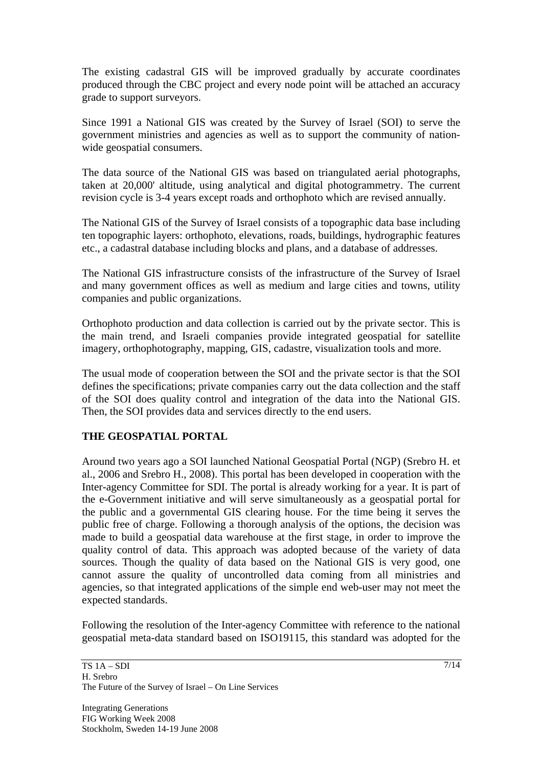The existing cadastral GIS will be improved gradually by accurate coordinates produced through the CBC project and every node point will be attached an accuracy grade to support surveyors.

Since 1991 a National GIS was created by the Survey of Israel (SOI) to serve the government ministries and agencies as well as to support the community of nationwide geospatial consumers.

The data source of the National GIS was based on triangulated aerial photographs, taken at 20,000' altitude, using analytical and digital photogrammetry. The current revision cycle is 3-4 years except roads and orthophoto which are revised annually.

The National GIS of the Survey of Israel consists of a topographic data base including ten topographic layers: orthophoto, elevations, roads, buildings, hydrographic features etc., a cadastral database including blocks and plans, and a database of addresses.

The National GIS infrastructure consists of the infrastructure of the Survey of Israel and many government offices as well as medium and large cities and towns, utility companies and public organizations.

Orthophoto production and data collection is carried out by the private sector. This is the main trend, and Israeli companies provide integrated geospatial for satellite imagery, orthophotography, mapping, GIS, cadastre, visualization tools and more.

The usual mode of cooperation between the SOI and the private sector is that the SOI defines the specifications; private companies carry out the data collection and the staff of the SOI does quality control and integration of the data into the National GIS. Then, the SOI provides data and services directly to the end users.

# **THE GEOSPATIAL PORTAL**

Around two years ago a SOI launched National Geospatial Portal (NGP) (Srebro H. et al., 2006 and Srebro H., 2008). This portal has been developed in cooperation with the Inter-agency Committee for SDI. The portal is already working for a year. It is part of the e-Government initiative and will serve simultaneously as a geospatial portal for the public and a governmental GIS clearing house. For the time being it serves the public free of charge. Following a thorough analysis of the options, the decision was made to build a geospatial data warehouse at the first stage, in order to improve the quality control of data. This approach was adopted because of the variety of data sources. Though the quality of data based on the National GIS is very good, one cannot assure the quality of uncontrolled data coming from all ministries and agencies, so that integrated applications of the simple end web-user may not meet the expected standards.

Following the resolution of the Inter-agency Committee with reference to the national geospatial meta-data standard based on ISO19115, this standard was adopted for the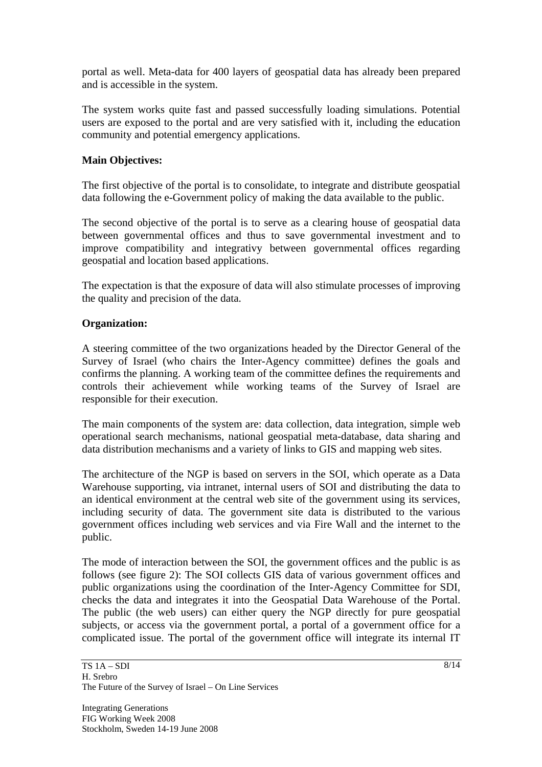portal as well. Meta-data for 400 layers of geospatial data has already been prepared and is accessible in the system.

The system works quite fast and passed successfully loading simulations. Potential users are exposed to the portal and are very satisfied with it, including the education community and potential emergency applications.

# **Main Objectives:**

The first objective of the portal is to consolidate, to integrate and distribute geospatial data following the e-Government policy of making the data available to the public.

The second objective of the portal is to serve as a clearing house of geospatial data between governmental offices and thus to save governmental investment and to improve compatibility and integrativy between governmental offices regarding geospatial and location based applications.

The expectation is that the exposure of data will also stimulate processes of improving the quality and precision of the data.

#### **Organization:**

A steering committee of the two organizations headed by the Director General of the Survey of Israel (who chairs the Inter-Agency committee) defines the goals and confirms the planning. A working team of the committee defines the requirements and controls their achievement while working teams of the Survey of Israel are responsible for their execution.

The main components of the system are: data collection, data integration, simple web operational search mechanisms, national geospatial meta-database, data sharing and data distribution mechanisms and a variety of links to GIS and mapping web sites.

The architecture of the NGP is based on servers in the SOI, which operate as a Data Warehouse supporting, via intranet, internal users of SOI and distributing the data to an identical environment at the central web site of the government using its services, including security of data. The government site data is distributed to the various government offices including web services and via Fire Wall and the internet to the public.

The mode of interaction between the SOI, the government offices and the public is as follows (see figure 2): The SOI collects GIS data of various government offices and public organizations using the coordination of the Inter-Agency Committee for SDI, checks the data and integrates it into the Geospatial Data Warehouse of the Portal. The public (the web users) can either query the NGP directly for pure geospatial subjects, or access via the government portal, a portal of a government office for a complicated issue. The portal of the government office will integrate its internal IT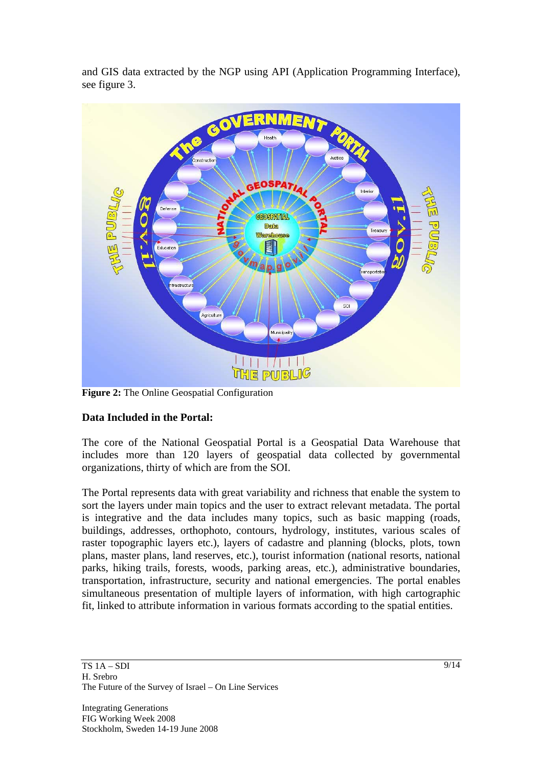and GIS data extracted by the NGP using API (Application Programming Interface), see figure 3.



**Figure 2:** The Online Geospatial Configuration

# **Data Included in the Portal:**

The core of the National Geospatial Portal is a Geospatial Data Warehouse that includes more than 120 layers of geospatial data collected by governmental organizations, thirty of which are from the SOI.

The Portal represents data with great variability and richness that enable the system to sort the layers under main topics and the user to extract relevant metadata. The portal is integrative and the data includes many topics, such as basic mapping (roads, buildings, addresses, orthophoto, contours, hydrology, institutes, various scales of raster topographic layers etc.), layers of cadastre and planning (blocks, plots, town plans, master plans, land reserves, etc.), tourist information (national resorts, national parks, hiking trails, forests, woods, parking areas, etc.), administrative boundaries, transportation, infrastructure, security and national emergencies. The portal enables simultaneous presentation of multiple layers of information, with high cartographic fit, linked to attribute information in various formats according to the spatial entities.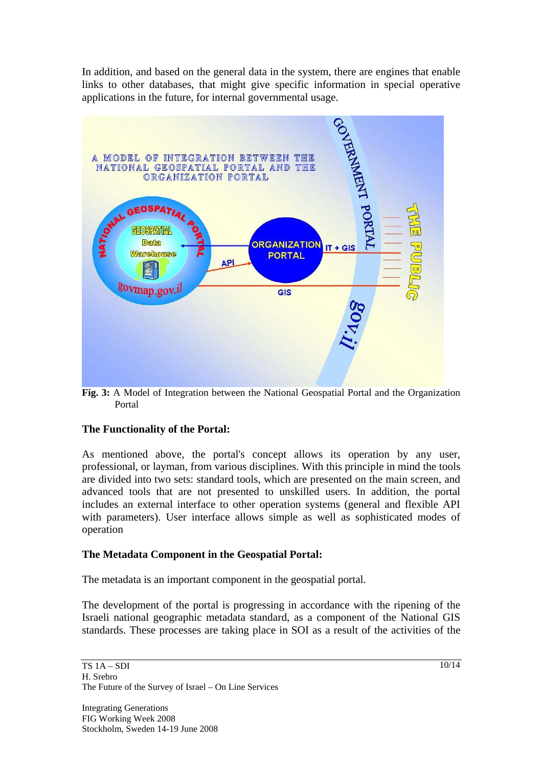In addition, and based on the general data in the system, there are engines that enable links to other databases, that might give specific information in special operative applications in the future, for internal governmental usage.



**Fig. 3:** A Model of Integration between the National Geospatial Portal and the Organization Portal

# **The Functionality of the Portal:**

As mentioned above, the portal's concept allows its operation by any user, professional, or layman, from various disciplines. With this principle in mind the tools are divided into two sets: standard tools, which are presented on the main screen, and advanced tools that are not presented to unskilled users. In addition, the portal includes an external interface to other operation systems (general and flexible API with parameters). User interface allows simple as well as sophisticated modes of operation

# **The Metadata Component in the Geospatial Portal:**

The metadata is an important component in the geospatial portal.

The development of the portal is progressing in accordance with the ripening of the Israeli national geographic metadata standard, as a component of the National GIS standards. These processes are taking place in SOI as a result of the activities of the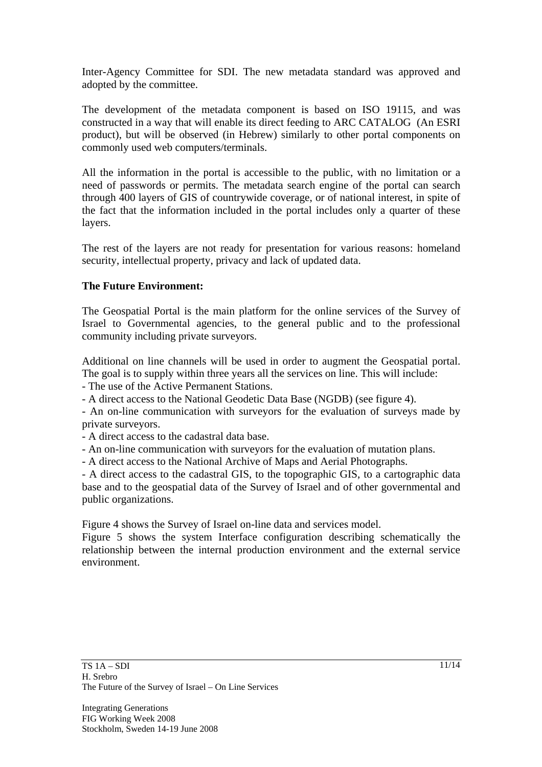Inter-Agency Committee for SDI. The new metadata standard was approved and adopted by the committee.

The development of the metadata component is based on ISO 19115, and was constructed in a way that will enable its direct feeding to ARC CATALOG (An ESRI product), but will be observed (in Hebrew) similarly to other portal components on commonly used web computers/terminals.

All the information in the portal is accessible to the public, with no limitation or a need of passwords or permits. The metadata search engine of the portal can search through 400 layers of GIS of countrywide coverage, or of national interest, in spite of the fact that the information included in the portal includes only a quarter of these layers.

The rest of the layers are not ready for presentation for various reasons: homeland security, intellectual property, privacy and lack of updated data.

# **The Future Environment:**

The Geospatial Portal is the main platform for the online services of the Survey of Israel to Governmental agencies, to the general public and to the professional community including private surveyors.

Additional on line channels will be used in order to augment the Geospatial portal. The goal is to supply within three years all the services on line. This will include:

- The use of the Active Permanent Stations.

- A direct access to the National Geodetic Data Base (NGDB) (see figure 4).

- An on-line communication with surveyors for the evaluation of surveys made by private surveyors.

- A direct access to the cadastral data base.

- An on-line communication with surveyors for the evaluation of mutation plans.

- A direct access to the National Archive of Maps and Aerial Photographs.

- A direct access to the cadastral GIS, to the topographic GIS, to a cartographic data base and to the geospatial data of the Survey of Israel and of other governmental and public organizations.

Figure 4 shows the Survey of Israel on-line data and services model.

Figure 5 shows the system Interface configuration describing schematically the relationship between the internal production environment and the external service environment.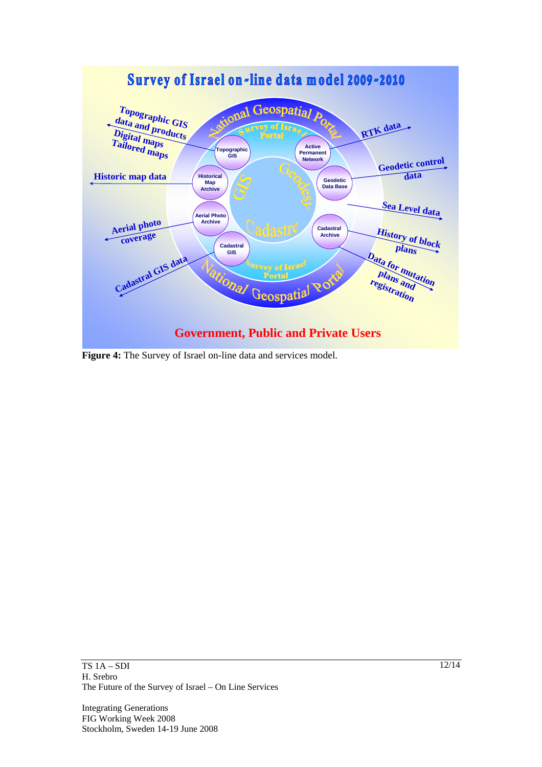

**Figure 4:** The Survey of Israel on-line data and services model.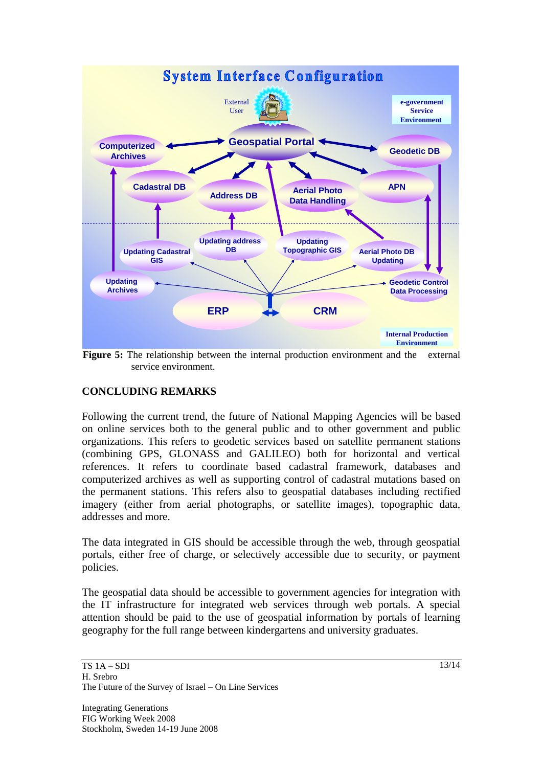

**Figure 5:** The relationship between the internal production environment and the external service environment.

# **CONCLUDING REMARKS**

Following the current trend, the future of National Mapping Agencies will be based on online services both to the general public and to other government and public organizations. This refers to geodetic services based on satellite permanent stations (combining GPS, GLONASS and GALILEO) both for horizontal and vertical references. It refers to coordinate based cadastral framework, databases and computerized archives as well as supporting control of cadastral mutations based on the permanent stations. This refers also to geospatial databases including rectified imagery (either from aerial photographs, or satellite images), topographic data, addresses and more.

The data integrated in GIS should be accessible through the web, through geospatial portals, either free of charge, or selectively accessible due to security, or payment policies.

The geospatial data should be accessible to government agencies for integration with the IT infrastructure for integrated web services through web portals. A special attention should be paid to the use of geospatial information by portals of learning geography for the full range between kindergartens and university graduates.

Integrating Generations FIG Working Week 2008 Stockholm, Sweden 14-19 June 2008